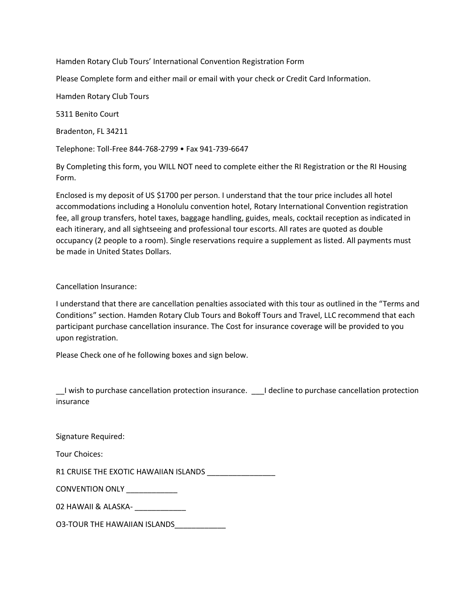Hamden Rotary Club Tours' International Convention Registration Form

Please Complete form and either mail or email with your check or Credit Card Information.

Hamden Rotary Club Tours

5311 Benito Court

Bradenton, FL 34211

Telephone: Toll-Free 844-768-2799 • Fax 941-739-6647

By Completing this form, you WILL NOT need to complete either the RI Registration or the RI Housing Form.

Enclosed is my deposit of US \$1700 per person. I understand that the tour price includes all hotel accommodations including a Honolulu convention hotel, Rotary International Convention registration fee, all group transfers, hotel taxes, baggage handling, guides, meals, cocktail reception as indicated in each itinerary, and all sightseeing and professional tour escorts. All rates are quoted as double occupancy (2 people to a room). Single reservations require a supplement as listed. All payments must be made in United States Dollars.

Cancellation Insurance:

I understand that there are cancellation penalties associated with this tour as outlined in the "Terms and Conditions" section. Hamden Rotary Club Tours and Bokoff Tours and Travel, LLC recommend that each participant purchase cancellation insurance. The Cost for insurance coverage will be provided to you upon registration.

Please Check one of he following boxes and sign below.

\_\_I wish to purchase cancellation protection insurance. \_\_\_I decline to purchase cancellation protection insurance

Signature Required:

Tour Choices:

R1 CRUISE THE EXOTIC HAWAIIAN ISLANDS \_\_\_\_\_\_\_\_\_\_\_\_\_\_\_\_

CONVENTION ONLY

02 HAWAII & ALASKA-

O3-TOUR THE HAWAIIAN ISLANDS